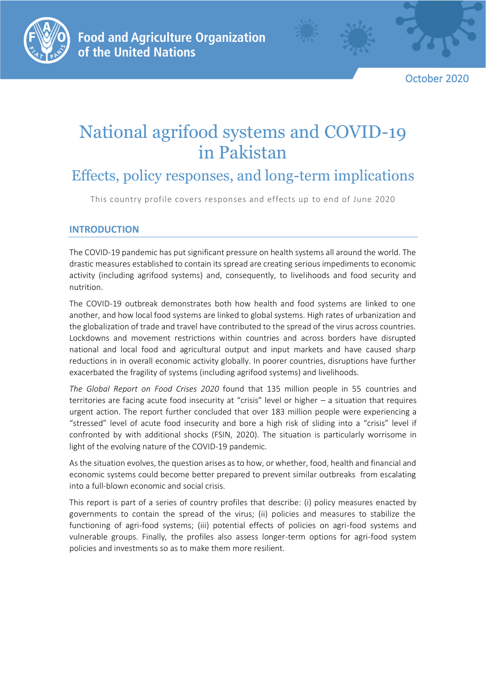

October 2020

# National agrifood systems and COVID-19 in Pakistan

## Effects, policy responses, and long-term implications

This country profile covers responses and effects up to end of June 2020

## **INTRODUCTION**

The COVID-19 pandemic has put significant pressure on health systems all around the world. The drastic measures established to contain its spread are creating serious impediments to economic activity (including agrifood systems) and, consequently, to livelihoods and food security and nutrition.

The COVID-19 outbreak demonstrates both how health and food systems are linked to one another, and how local food systems are linked to global systems. High rates of urbanization and the globalization of trade and travel have contributed to the spread of the virus across countries. Lockdowns and movement restrictions within countries and across borders have disrupted national and local food and agricultural output and input markets and have caused sharp reductions in in overall economic activity globally. In poorer countries, disruptions have further exacerbated the fragility of systems (including agrifood systems) and livelihoods.

*The Global Report on Food Crises 2020* found that 135 million people in 55 countries and territories are facing acute food insecurity at "crisis" level or higher – a situation that requires urgent action. The report further concluded that over 183 million people were experiencing a "stressed" level of acute food insecurity and bore a high risk of sliding into a "crisis" level if confronted by with additional shocks (FSIN, 2020). The situation is particularly worrisome in light of the evolving nature of the COVID-19 pandemic.

As the situation evolves, the question arises as to how, or whether, food, health and financial and economic systems could become better prepared to prevent similar outbreaks from escalating into a full-blown economic and social crisis.

This report is part of a series of country profiles that describe: (i) policy measures enacted by governments to contain the spread of the virus; (ii) policies and measures to stabilize the functioning of agri-food systems; (iii) potential effects of policies on agri-food systems and vulnerable groups. Finally, the profiles also assess longer-term options for agri-food system policies and investments so as to make them more resilient.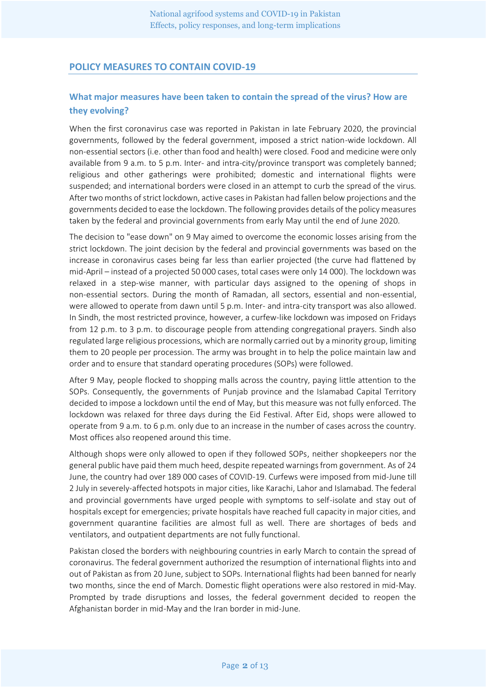## **POLICY MEASURES TO CONTAIN COVID-19**

## **What major measures have been taken to contain the spread of the virus? How are they evolving?**

When the first coronavirus case was reported in Pakistan in late February 2020, the provincial governments, followed by the federal government, imposed a strict nation-wide lockdown. All non-essential sectors (i.e. other than food and health) were closed. Food and medicine were only available from 9 a.m. to 5 p.m. Inter- and intra-city/province transport was completely banned; religious and other gatherings were prohibited; domestic and international flights were suspended; and international borders were closed in an attempt to curb the spread of the virus. After two months of strict lockdown, active cases in Pakistan had fallen below projections and the governments decided to ease the lockdown. The following provides details of the policy measures taken by the federal and provincial governments from early May until the end of June 2020.

The decision to "ease down" on 9 May aimed to overcome the economic losses arising from the strict lockdown. The joint decision by the federal and provincial governments was based on the increase in coronavirus cases being far less than earlier projected (the curve had flattened by mid-April – instead of a projected 50 000 cases, total cases were only 14 000). The lockdown was relaxed in a step-wise manner, with particular days assigned to the opening of shops in non-essential sectors. During the month of Ramadan, all sectors, essential and non-essential, were allowed to operate from dawn until 5 p.m. Inter- and intra-city transport was also allowed. In Sindh, the most restricted province, however, a curfew-like lockdown was imposed on Fridays from 12 p.m. to 3 p.m. to discourage people from attending congregational prayers. Sindh also regulated large religious processions, which are normally carried out by a minority group, limiting them to 20 people per procession. The army was brought in to help the police maintain law and order and to ensure that standard operating procedures (SOPs) were followed.

After 9 May, people flocked to shopping malls across the country, paying little attention to the SOPs. Consequently, the governments of Punjab province and the Islamabad Capital Territory decided to impose a lockdown until the end of May, but this measure was not fully enforced. The lockdown was relaxed for three days during the Eid Festival. After Eid, shops were allowed to operate from 9 a.m. to 6 p.m. only due to an increase in the number of cases across the country. Most offices also reopened around this time.

Although shops were only allowed to open if they followed SOPs, neither shopkeepers nor the general public have paid them much heed, despite repeated warnings from government. As of 24 June, the country had over 189 000 cases of COVID-19. Curfews were imposed from mid-June till 2 July in severely-affected hotspots in major cities, like Karachi, Lahor and Islamabad. The federal and provincial governments have urged people with symptoms to self-isolate and stay out of hospitals except for emergencies; private hospitals have reached full capacity in major cities, and government quarantine facilities are almost full as well. There are shortages of beds and ventilators, and outpatient departments are not fully functional.

Pakistan closed the borders with neighbouring countries in early March to contain the spread of coronavirus. The federal government authorized the resumption of international flights into and out of Pakistan as from 20 June, subject to SOPs. International flights had been banned for nearly two months, since the end of March. Domestic flight operations were also restored in mid-May. Prompted by trade disruptions and losses, the federal government decided to reopen the Afghanistan border in mid-May and the Iran border in mid-June.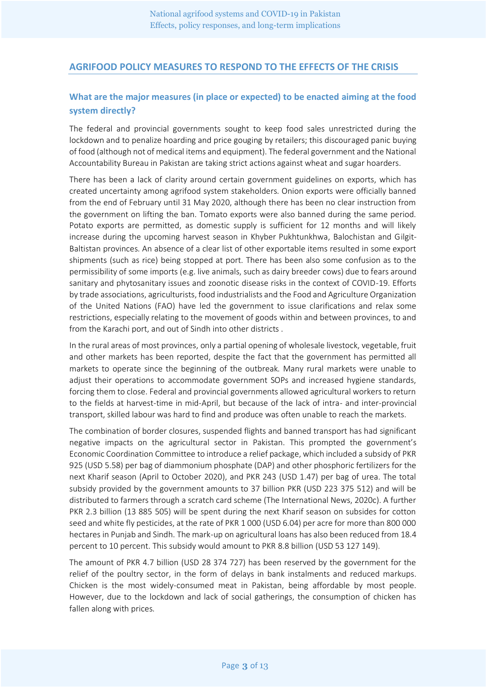## **AGRIFOOD POLICY MEASURES TO RESPOND TO THE EFFECTS OF THE CRISIS**

## **What are the major measures (in place or expected) to be enacted aiming at the food system directly?**

The federal and provincial governments sought to keep food sales unrestricted during the lockdown and to penalize hoarding and price gouging by retailers; this discouraged panic buying of food (although not of medical items and equipment). The federal government and the National Accountability Bureau in Pakistan are taking strict actions against wheat and sugar hoarders.

There has been a lack of clarity around certain government guidelines on exports, which has created uncertainty among agrifood system stakeholders. Onion exports were officially banned from the end of February until 31 May 2020, although there has been no clear instruction from the government on lifting the ban. Tomato exports were also banned during the same period. Potato exports are permitted, as domestic supply is sufficient for 12 months and will likely increase during the upcoming harvest season in Khyber Pukhtunkhwa, Balochistan and Gilgit-Baltistan provinces. An absence of a clear list of other exportable items resulted in some export shipments (such as rice) being stopped at port. There has been also some confusion as to the permissibility of some imports (e.g. live animals, such as dairy breeder cows) due to fears around sanitary and phytosanitary issues and zoonotic disease risks in the context of COVID-19. Efforts by trade associations, agriculturists, food industrialists and the Food and Agriculture Organization of the United Nations (FAO) have led the government to issue clarifications and relax some restrictions, especially relating to the movement of goods within and between provinces, to and from the Karachi port, and out of Sindh into other districts .

In the rural areas of most provinces, only a partial opening of wholesale livestock, vegetable, fruit and other markets has been reported, despite the fact that the government has permitted all markets to operate since the beginning of the outbreak. Many rural markets were unable to adjust their operations to accommodate government SOPs and increased hygiene standards, forcing them to close. Federal and provincial governments allowed agricultural workers to return to the fields at harvest-time in mid-April, but because of the lack of intra- and inter-provincial transport, skilled labour was hard to find and produce was often unable to reach the markets.

The combination of border closures, suspended flights and banned transport has had significant negative impacts on the agricultural sector in Pakistan. This prompted the government's Economic Coordination Committee to introduce a relief package, which included a subsidy of PKR 925 (USD 5.58) per bag of diammonium phosphate (DAP) and other phosphoric fertilizers for the next Kharif season (April to October 2020), and PKR 243 (USD 1.47) per bag of urea. The total subsidy provided by the government amounts to 37 billion PKR (USD 223 375 512) and will be distributed to farmers through a scratch card scheme (The International News, 2020c). A further PKR 2.3 billion (13 885 505) will be spent during the next Kharif season on subsides for cotton seed and white fly pesticides, at the rate of PKR 1 000 (USD 6.04) per acre for more than 800 000 hectares in Punjab and Sindh. The mark-up on agricultural loans has also been reduced from 18.4 percent to 10 percent. This subsidy would amount to PKR 8.8 billion (USD 53 127 149).

The amount of PKR 4.7 billion (USD 28 374 727) has been reserved by the government for the relief of the poultry sector, in the form of delays in bank instalments and reduced markups. Chicken is the most widely-consumed meat in Pakistan, being affordable by most people. However, due to the lockdown and lack of social gatherings, the consumption of chicken has fallen along with prices.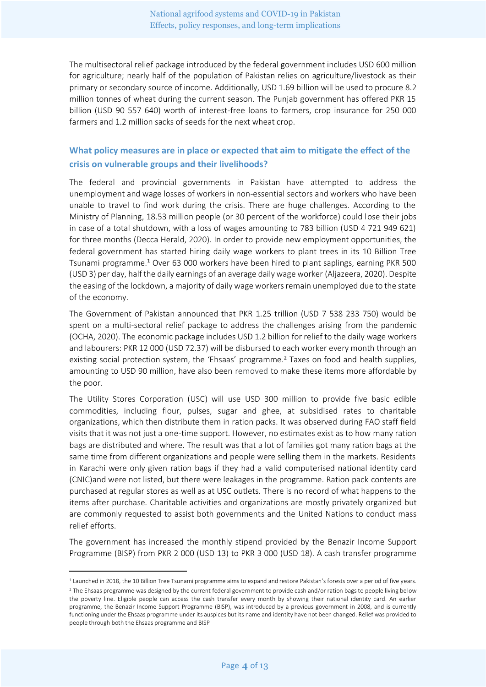The multisectoral relief package introduced by the federal government includes USD 600 million for agriculture; nearly half of the population of Pakistan relies on agriculture/livestock as their primary or secondary source of income. Additionally, USD 1.69 billion will be used to procure 8.2 million tonnes of wheat during the current season. The Punjab government has offered PKR 15 billion (USD 90 557 640) worth of interest-free loans to farmers, crop insurance for 250 000 farmers and 1.2 million sacks of seeds for the next wheat crop.

## **What policy measures are in place or expected that aim to mitigate the effect of the crisis on vulnerable groups and their livelihoods?**

The federal and provincial governments in Pakistan have attempted to address the unemployment and wage losses of workers in non-essential sectors and workers who have been unable to travel to find work during the crisis. There are huge challenges. According to the Ministry of Planning, 18.53 million people (or 30 percent of the workforce) could lose their jobs in case of a total shutdown, with a loss of wages amounting to 783 billion (USD 4 721 949 621) for three months (Decca Herald, 2020). In order to provide new employment opportunities, the federal government has started hiring daily wage workers to plant trees in its 10 Billion Tree Tsunami programme.<sup>1</sup> Over 63 000 workers have been hired to plant saplings, earning PKR 500 (USD 3) per day, half the daily earnings of an average daily wage worker (Aljazeera, 2020). Despite the easing of the lockdown, a majority of daily wage workers remain unemployed due to the state of the economy.

The Government of Pakistan announced that PKR 1.25 trillion (USD 7 538 233 750) would be spent on a multi-sectoral relief package to address the challenges arising from the pandemic (OCHA, 2020). The economic package includes USD 1.2 billion for relief to the daily wage workers and labourers: PKR 12 000 (USD 72.37) will be disbursed to each worker every month through an existing social protection system, the 'Ehsaas' programme.<sup>2</sup> Taxes on food and health supplies, amounting to USD 90 million, have also been removed to make these items more affordable by the poor.

The Utility Stores Corporation (USC) will use USD 300 million to provide five basic edible commodities, including flour, pulses, sugar and ghee, at subsidised rates to charitable organizations, which then distribute them in ration packs. It was observed during FAO staff field visits that it was not just a one-time support. However, no estimates exist as to how many ration bags are distributed and where. The result was that a lot of families got many ration bags at the same time from different organizations and people were selling them in the markets. Residents in Karachi were only given ration bags if they had a valid computerised national identity card (CNIC)and were not listed, but there were leakages in the programme. Ration pack contents are purchased at regular stores as well as at USC outlets. There is no record of what happens to the items after purchase. Charitable activities and organizations are mostly privately organized but are commonly requested to assist both governments and the United Nations to conduct mass relief efforts.

The government has increased the monthly stipend provided by the Benazir Income Support Programme (BISP) from PKR 2 000 (USD 13) to PKR 3 000 (USD 18). A cash transfer programme

<sup>&</sup>lt;sup>1</sup> Launched in 2018, the 10 Billion Tree Tsunami programme aims to expand and restore Pakistan's forests over a period of five years. <sup>2</sup> The Ehsaas programme was designed by the current federal government to provide cash and/or ration bags to people living below the poverty line. Eligible people can access the cash transfer every month by showing their national identity card. An earlier programme, the Benazir Income Support Programme (BISP), was introduced by a previous government in 2008, and is currently functioning under the Ehsaas programme under its auspices but its name and identity have not been changed. Relief was provided to people through both the Ehsaas programme and BISP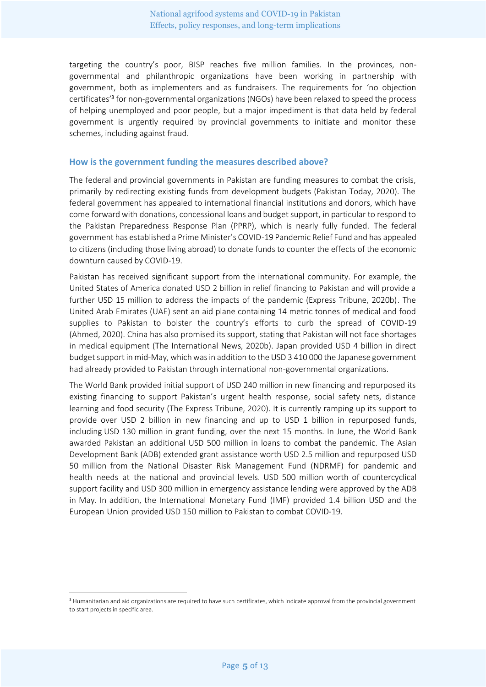targeting the country's poor, BISP reaches five million families. In the provinces, nongovernmental and philanthropic organizations have been working in partnership with government, both as implementers and as fundraisers. The requirements for 'no objection certificates' 3 for non-governmental organizations (NGOs) have been relaxed to speed the process of helping unemployed and poor people, but a major impediment is that data held by federal government is urgently required by provincial governments to initiate and monitor these schemes, including against fraud.

#### **How is the government funding the measures described above?**

The federal and provincial governments in Pakistan are funding measures to combat the crisis, primarily by redirecting existing funds from development budgets (Pakistan Today, 2020). The federal government has appealed to international financial institutions and donors, which have come forward with donations, concessional loans and budget support, in particular to respond to the Pakistan Preparedness Response Plan (PPRP), which is nearly fully funded. The federal government has established a Prime Minister's COVID-19 Pandemic Relief Fund and has appealed to citizens (including those living abroad) to donate funds to counter the effects of the economic downturn caused by COVID-19.

Pakistan has received significant support from the international community. For example, the United States of America donated USD 2 billion in relief financing to Pakistan and will provide a further USD 15 million to address the impacts of the pandemic (Express Tribune, 2020b). The United Arab Emirates (UAE) sent an aid plane containing 14 metric tonnes of medical and food supplies to Pakistan to bolster the country's efforts to curb the spread of COVID-19 (Ahmed, 2020). China has also promised its support, stating that Pakistan will not face shortages in medical equipment (The International News, 2020b). Japan provided USD 4 billion in direct budget support in mid-May, which was in addition to the USD 3 410 000 the Japanese government had already provided to Pakistan through international non-governmental organizations.

The World Bank provided initial support of USD 240 million in new financing and repurposed its existing financing to support Pakistan's urgent health response, social safety nets, distance learning and food security (The Express Tribune, 2020). It is currently ramping up its support to provide over USD 2 billion in new financing and up to USD 1 billion in repurposed funds, including USD 130 million in grant funding, over the next 15 months. In June, the World Bank awarded Pakistan an additional USD 500 million in loans to combat the pandemic. The Asian Development Bank (ADB) extended grant assistance worth USD 2.5 million and repurposed USD 50 million from the National Disaster Risk Management Fund (NDRMF) for pandemic and health needs at the national and provincial levels. USD 500 million worth of countercyclical support facility and USD 300 million in emergency assistance lending were approved by the ADB in May. In addition, the International Monetary Fund (IMF) provided 1.4 billion USD and the European Union provided USD 150 million to Pakistan to combat COVID-19.

<sup>&</sup>lt;sup>3</sup> Humanitarian and aid organizations are required to have such certificates, which indicate approval from the provincial government to start projects in specific area.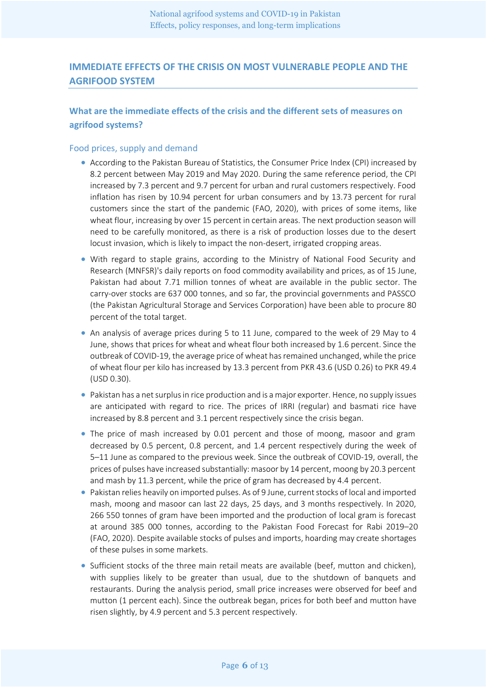## **IMMEDIATE EFFECTS OF THE CRISIS ON MOST VULNERABLE PEOPLE AND THE AGRIFOOD SYSTEM**

## **What are the immediate effects of the crisis and the different sets of measures on agrifood systems?**

#### Food prices, supply and demand

- According to the Pakistan Bureau of Statistics, the Consumer Price Index (CPI) increased by 8.2 percent between May 2019 and May 2020. During the same reference period, the CPI increased by 7.3 percent and 9.7 percent for urban and rural customers respectively. Food inflation has risen by 10.94 percent for urban consumers and by 13.73 percent for rural customers since the start of the pandemic (FAO, 2020), with prices of some items, like wheat flour, increasing by over 15 percent in certain areas. The next production season will need to be carefully monitored, as there is a risk of production losses due to the desert locust invasion, which is likely to impact the non-desert, irrigated cropping areas.
- With regard to staple grains, according to the Ministry of National Food Security and Research (MNFSR)'s daily reports on food commodity availability and prices, as of 15 June, Pakistan had about 7.71 million tonnes of wheat are available in the public sector. The carry-over stocks are 637 000 tonnes, and so far, the provincial governments and PASSCO (the Pakistan Agricultural Storage and Services Corporation) have been able to procure 80 percent of the total target.
- An analysis of average prices during 5 to 11 June, compared to the week of 29 May to 4 June, shows that prices for wheat and wheat flour both increased by 1.6 percent. Since the outbreak of COVID-19, the average price of wheat has remained unchanged, while the price of wheat flour per kilo has increased by 13.3 percent from PKR 43.6 (USD 0.26) to PKR 49.4 (USD 0.30).
- Pakistan has a net surplus in rice production and is a major exporter. Hence, no supply issues are anticipated with regard to rice. The prices of IRRI (regular) and basmati rice have increased by 8.8 percent and 3.1 percent respectively since the crisis began.
- The price of mash increased by 0.01 percent and those of moong, masoor and gram decreased by 0.5 percent, 0.8 percent, and 1.4 percent respectively during the week of 5–11 June as compared to the previous week. Since the outbreak of COVID-19, overall, the prices of pulses have increased substantially: masoor by 14 percent, moong by 20.3 percent and mash by 11.3 percent, while the price of gram has decreased by 4.4 percent.
- Pakistan relies heavily on imported pulses. As of 9 June, current stocks of local and imported mash, moong and masoor can last 22 days, 25 days, and 3 months respectively. In 2020, 266 550 tonnes of gram have been imported and the production of local gram is forecast at around 385 000 tonnes, according to the Pakistan Food Forecast for Rabi 2019–20 (FAO, 2020). Despite available stocks of pulses and imports, hoarding may create shortages of these pulses in some markets.
- Sufficient stocks of the three main retail meats are available (beef, mutton and chicken), with supplies likely to be greater than usual, due to the shutdown of banquets and restaurants. During the analysis period, small price increases were observed for beef and mutton (1 percent each). Since the outbreak began, prices for both beef and mutton have risen slightly, by 4.9 percent and 5.3 percent respectively.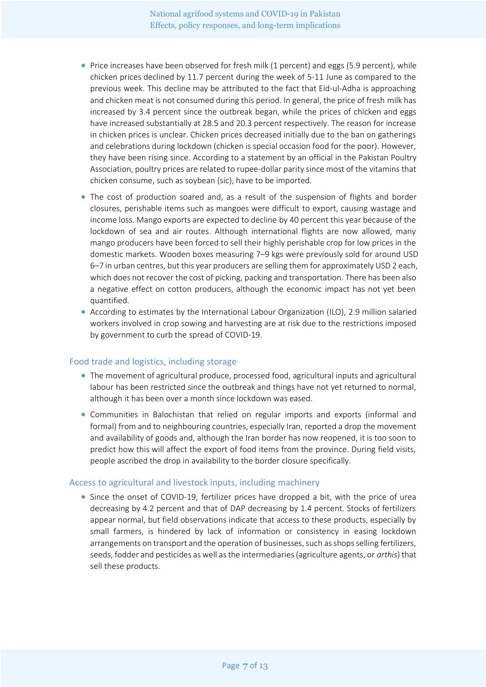- Price increases have been observed for fresh milk (1 percent) and eggs (5.9 percent), while chicken prices declined by 11.7 percent during the week of 5-11 June as compared to the previous week. This decline may be attributed to the fact that Eid-ul-Adha is approaching and chicken meat is not consumed during this period. In general, the price of fresh milk has increased by 3.4 percent since the outbreak began, while the prices of chicken and eggs have increased substantially at 28.5 and 20.3 percent respectively. The reason for increase in chicken prices is unclear. Chicken prices decreased initially due to the ban on gatherings and celebrations during lockdown (chicken is special occasion food for the poor). However, they have been rising since. According to a statement by an official in the Pakistan Poultry Association, poultry prices are related to rupee-dollar parity since most of the vitamins that chicken consume, such as soybean (sic), have to be imported.
- The cost of production soared and, as a result of the suspension of flights and border closures, perishable items such as mangoes were difficult to export, causing wastage and income loss. Mango exports are expected to decline by 40 percent this year because of the lockdown of sea and air routes. Although international flights are now allowed, many mango producers have been forced to sell their highly perishable crop for low prices in the domestic markets. Wooden boxes measuring 7–9 kgs were previously sold for around USD 6–7 in urban centres, but this year producers are selling them for approximately USD 2 each, which does not recover the cost of picking, packing and transportation. There has been also a negative effect on cotton producers, although the economic impact has not yet been quantified.
- According to estimates by the International Labour Organization (ILO), 2.9 million salaried workers involved in crop sowing and harvesting are at risk due to the restrictions imposed by government to curb the spread of COVID-19.

#### Food trade and logistics, including storage

- The movement of agricultural produce, processed food, agricultural inputs and agricultural labour has been restricted since the outbreak and things have not yet returned to normal, although it has been over a month since lockdown was eased.
- Communities in Balochistan that relied on regular imports and exports (informal and formal) from and to neighbouring countries, especially Iran, reported a drop the movement and availability of goods and, although the Iran border has now reopened, it is too soon to predict how this will affect the export of food items from the province. During field visits, people ascribed the drop in availability to the border closure specifically.

#### Access to agricultural and livestock inputs, including machinery

• Since the onset of COVID-19, fertilizer prices have dropped a bit, with the price of urea decreasing by 4.2 percent and that of DAP decreasing by 1.4 percent. Stocks of fertilizers appear normal, but field observations indicate that access to these products, especially by small farmers, is hindered by lack of information or consistency in easing lockdown arrangements on transport and the operation of businesses, such as shops selling fertilizers, seeds, fodder and pesticides as well as the intermediaries (agriculture agents, or *arthis*) that sell these products.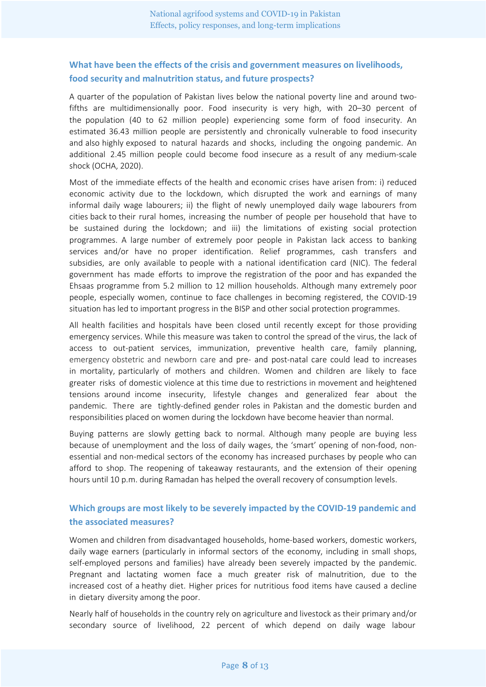## **What have been the effects of the crisis and government measures on livelihoods, food security and malnutrition status, and future prospects?**

A quarter of the population of Pakistan lives below the national poverty line and around twofifths are multidimensionally poor. Food insecurity is very high, with 20–30 percent of the population (40 to 62 million people) experiencing some form of food insecurity. An estimated 36.43 million people are persistently and chronically vulnerable to food insecurity and also highly exposed to natural hazards and shocks, including the ongoing pandemic. An additional 2.45 million people could become food insecure as a result of any medium-scale shock (OCHA, 2020).

Most of the immediate effects of the health and economic crises have arisen from: i) reduced economic activity due to the lockdown, which disrupted the work and earnings of many informal daily wage labourers; ii) the flight of newly unemployed daily wage labourers from cities back to their rural homes, increasing the number of people per household that have to be sustained during the lockdown; and iii) the limitations of existing social protection programmes. A large number of extremely poor people in Pakistan lack access to banking services and/or have no proper identification. Relief programmes, cash transfers and subsidies, are only available to people with a national identification card (NIC). The federal government has made efforts to improve the registration of the poor and has expanded the Ehsaas programme from 5.2 million to 12 million households. Although many extremely poor people, especially women, continue to face challenges in becoming registered, the COVID-19 situation has led to important progress in the BISP and other social protection programmes.

All health facilities and hospitals have been closed until recently except for those providing emergency services. While this measure was taken to control the spread of the virus, the lack of access to out-patient services, immunization, preventive health care, family planning, emergency obstetric and newborn care and pre- and post-natal care could lead to increases in mortality, particularly of mothers and children. Women and children are likely to face greater risks of domestic violence at this time due to restrictions in movement and heightened tensions around income insecurity, lifestyle changes and generalized fear about the pandemic. There are tightly-defined gender roles in Pakistan and the domestic burden and responsibilities placed on women during the lockdown have become heavier than normal.

Buying patterns are slowly getting back to normal. Although many people are buying less because of unemployment and the loss of daily wages, the 'smart' opening of non-food, nonessential and non-medical sectors of the economy has increased purchases by people who can afford to shop. The reopening of takeaway restaurants, and the extension of their opening hours until 10 p.m. during Ramadan has helped the overall recovery of consumption levels.

## **Which groups are most likely to be severely impacted by the COVID-19 pandemic and the associated measures?**

Women and children from disadvantaged households, home-based workers, domestic workers, daily wage earners (particularly in informal sectors of the economy, including in small shops, self-employed persons and families) have already been severely impacted by the pandemic. Pregnant and lactating women face a much greater risk of malnutrition, due to the increased cost of a heathy diet. Higher prices for nutritious food items have caused a decline in dietary diversity among the poor.

Nearly half of households in the country rely on agriculture and livestock as their primary and/or secondary source of livelihood, 22 percent of which depend on daily wage labour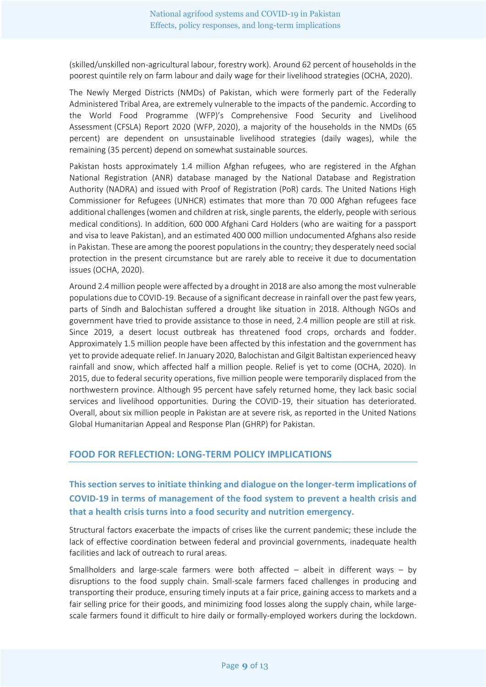(skilled/unskilled non-agricultural labour, forestry work). Around 62 percent of households in the poorest quintile rely on farm labour and daily wage for their livelihood strategies (OCHA, 2020).

The Newly Merged Districts (NMDs) of Pakistan, which were formerly part of the Federally Administered Tribal Area, are extremely vulnerable to the impacts of the pandemic. According to the World Food Programme (WFP)'s Comprehensive Food Security and Livelihood Assessment (CFSLA) Report 2020 (WFP, 2020), a majority of the households in the NMDs (65 percent) are dependent on unsustainable livelihood strategies (daily wages), while the remaining (35 percent) depend on somewhat sustainable sources.

Pakistan hosts approximately 1.4 million Afghan refugees, who are registered in the Afghan National Registration (ANR) database managed by the National Database and Registration Authority (NADRA) and issued with Proof of Registration (PoR) cards. The United Nations High Commissioner for Refugees (UNHCR) estimates that more than 70 000 Afghan refugees face additional challenges (women and children at risk, single parents, the elderly, people with serious medical conditions). In addition, 600 000 Afghani Card Holders (who are waiting for a passport and visa to leave Pakistan), and an estimated 400 000 million undocumented Afghans also reside in Pakistan. These are among the poorest populations in the country; they desperately need social protection in the present circumstance but are rarely able to receive it due to documentation issues (OCHA, 2020).

Around 2.4 million people were affected by a drought in 2018 are also among the most vulnerable populations due to COVID-19. Because of a significant decrease in rainfall over the past few years, parts of Sindh and Balochistan suffered a drought like situation in 2018. Although NGOs and government have tried to provide assistance to those in need, 2.4 million people are still at risk. Since 2019, a desert locust outbreak has threatened food crops, orchards and fodder. Approximately 1.5 million people have been affected by this infestation and the government has yet to provide adequate relief. In January 2020, Balochistan and Gilgit Baltistan experienced heavy rainfall and snow, which affected half a million people. Relief is yet to come (OCHA, 2020). In 2015, due to federal security operations, five million people were temporarily displaced from the northwestern province. Although 95 percent have safely returned home, they lack basic social services and livelihood opportunities. During the COVID-19, their situation has deteriorated. Overall, about six million people in Pakistan are at severe risk, as reported in the United Nations Global Humanitarian Appeal and Response Plan (GHRP) for Pakistan.

### **FOOD FOR REFLECTION: LONG-TERM POLICY IMPLICATIONS**

**This section serves to initiate thinking and dialogue on the longer-term implications of COVID-19 in terms of management of the food system to prevent a health crisis and that a health crisis turns into a food security and nutrition emergency.** 

Structural factors exacerbate the impacts of crises like the current pandemic; these include the lack of effective coordination between federal and provincial governments, inadequate health facilities and lack of outreach to rural areas.

Smallholders and large-scale farmers were both affected  $-$  albeit in different ways  $-$  by disruptions to the food supply chain. Small-scale farmers faced challenges in producing and transporting their produce, ensuring timely inputs at a fair price, gaining access to markets and a fair selling price for their goods, and minimizing food losses along the supply chain, while largescale farmers found it difficult to hire daily or formally-employed workers during the lockdown.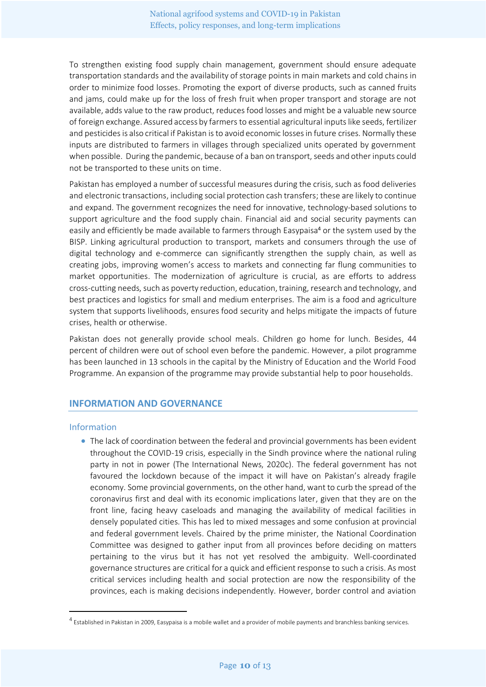To strengthen existing food supply chain management, government should ensure adequate transportation standards and the availability of storage points in main markets and cold chains in order to minimize food losses. Promoting the export of diverse products, such as canned fruits and jams, could make up for the loss of fresh fruit when proper transport and storage are not available, adds value to the raw product, reduces food losses and might be a valuable new source of foreign exchange. Assured access by farmers to essential agricultural inputs like seeds, fertilizer and pesticides is also critical if Pakistan is to avoid economic losses in future crises. Normally these inputs are distributed to farmers in villages through specialized units operated by government when possible. During the pandemic, because of a ban on transport, seeds and other inputs could not be transported to these units on time.

Pakistan has employed a number of successful measures during the crisis, such as food deliveries and electronic transactions, including social protection cash transfers; these are likely to continue and expand. The government recognizes the need for innovative, technology-based solutions to support agriculture and the food supply chain. Financial aid and social security payments can easily and efficiently be made available to farmers through Easypaisa<sup>4</sup> or the system used by the BISP. Linking agricultural production to transport, markets and consumers through the use of digital technology and e-commerce can significantly strengthen the supply chain, as well as creating jobs, improving women's access to markets and connecting far flung communities to market opportunities. The modernization of agriculture is crucial, as are efforts to address cross-cutting needs, such as poverty reduction, education, training, research and technology, and best practices and logistics for small and medium enterprises. The aim is a food and agriculture system that supports livelihoods, ensures food security and helps mitigate the impacts of future crises, health or otherwise.

Pakistan does not generally provide school meals. Children go home for lunch. Besides, 44 percent of children were out of school even before the pandemic. However, a pilot programme has been launched in 13 schools in the capital by the Ministry of Education and the World Food Programme. An expansion of the programme may provide substantial help to poor households.

#### **INFORMATION AND GOVERNANCE**

#### Information

• The lack of coordination between the federal and provincial governments has been evident throughout the COVID-19 crisis, especially in the Sindh province where the national ruling party in not in power (The International News, 2020c). The federal government has not favoured the lockdown because of the impact it will have on Pakistan's already fragile economy. Some provincial governments, on the other hand, want to curb the spread of the coronavirus first and deal with its economic implications later, given that they are on the front line, facing heavy caseloads and managing the availability of medical facilities in densely populated cities. This has led to mixed messages and some confusion at provincial and federal government levels. Chaired by the prime minister, the National Coordination Committee was designed to gather input from all provinces before deciding on matters pertaining to the virus but it has not yet resolved the ambiguity. Well-coordinated governance structures are critical for a quick and efficient response to such a crisis. As most critical services including health and social protection are now the responsibility of the provinces, each is making decisions independently. However, border control and aviation

<sup>&</sup>lt;sup>4</sup> Established in Pakistan in 2009, Easypaisa is a mobile wallet and a provider of mobile payments and branchless banking services.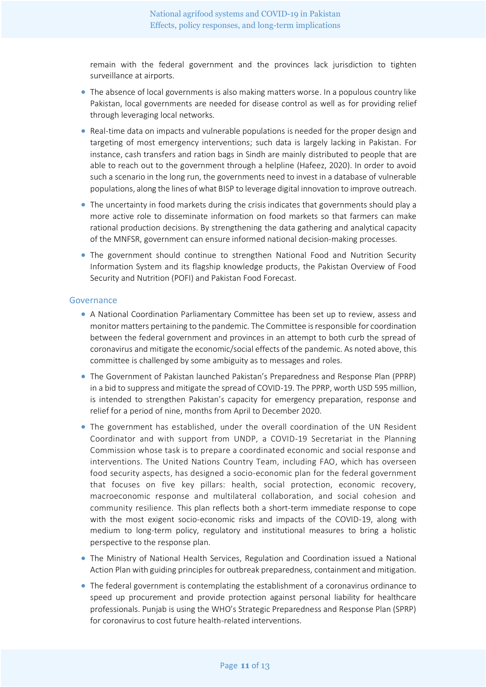remain with the federal government and the provinces lack jurisdiction to tighten surveillance at airports.

- The absence of local governments is also making matters worse. In a populous country like Pakistan, local governments are needed for disease control as well as for providing relief through leveraging local networks.
- Real-time data on impacts and vulnerable populations is needed for the proper design and targeting of most emergency interventions; such data is largely lacking in Pakistan. For instance, cash transfers and ration bags in Sindh are mainly distributed to people that are able to reach out to the government through a helpline (Hafeez, 2020). In order to avoid such a scenario in the long run, the governments need to invest in a database of vulnerable populations, along the lines of what BISP to leverage digital innovation to improve outreach.
- The uncertainty in food markets during the crisis indicates that governments should play a more active role to disseminate information on food markets so that farmers can make rational production decisions. By strengthening the data gathering and analytical capacity of the MNFSR, government can ensure informed national decision-making processes.
- The government should continue to strengthen National Food and Nutrition Security Information System and its flagship knowledge products, the Pakistan Overview of Food Security and Nutrition (POFI) and Pakistan Food Forecast.

#### Governance

- A National Coordination Parliamentary Committee has been set up to review, assess and monitor matters pertaining to the pandemic. The Committee is responsible for coordination between the federal government and provinces in an attempt to both curb the spread of coronavirus and mitigate the economic/social effects of the pandemic. As noted above, this committee is challenged by some ambiguity as to messages and roles.
- The Government of Pakistan launched Pakistan's Preparedness and Response Plan (PPRP) in a bid to suppress and mitigate the spread of COVID-19. The PPRP, worth USD 595 million, is intended to strengthen Pakistan's capacity for emergency preparation, response and relief for a period of nine, months from April to December 2020.
- The government has established, under the overall coordination of the UN Resident Coordinator and with support from UNDP, a COVID-19 Secretariat in the Planning Commission whose task is to prepare a coordinated economic and social response and interventions. The United Nations Country Team, including FAO, which has overseen food security aspects, has designed a socio-economic plan for the federal government that focuses on five key pillars: health, social protection, economic recovery, macroeconomic response and multilateral collaboration, and social cohesion and community resilience. This plan reflects both a short-term immediate response to cope with the most exigent socio-economic risks and impacts of the COVID-19, along with medium to long-term policy, regulatory and institutional measures to bring a holistic perspective to the response plan.
- The Ministry of National Health Services, Regulation and Coordination issued a National Action Plan with guiding principles for outbreak preparedness, containment and mitigation.
- The federal government is contemplating the establishment of a coronavirus ordinance to speed up procurement and provide protection against personal liability for healthcare professionals. Punjab is using the WHO's Strategic Preparedness and Response Plan (SPRP) for coronavirus to cost future health-related interventions.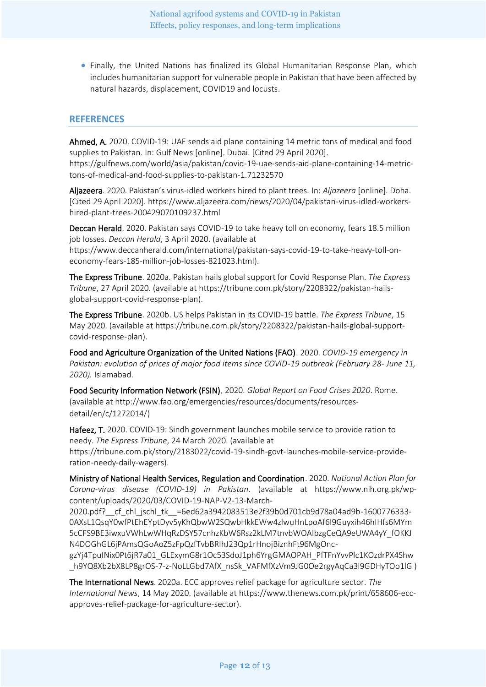• Finally, the United Nations has finalized its Global Humanitarian Response Plan, which includes humanitarian support for vulnerable people in Pakistan that have been affected by natural hazards, displacement, COVID19 and locusts.

#### **REFERENCES**

Ahmed, A. 2020. COVID-19: UAE sends aid plane containing 14 metric tons of medical and food supplies to Pakistan. In: Gulf News [online]. Dubai. [Cited 29 April 2020]. [https://gulfnews.com/world/asia/pakistan/covid-19-uae-sends-aid-plane-containing-14-metric](https://gulfnews.com/world/asia/pakistan/covid-19-uae-sends-aid-plane-containing-14-metric-tons-of-medical-and-food-supplies-to-pakistan-1.71232570)[tons-of-medical-and-food-supplies-to-pakistan-1.71232570](https://gulfnews.com/world/asia/pakistan/covid-19-uae-sends-aid-plane-containing-14-metric-tons-of-medical-and-food-supplies-to-pakistan-1.71232570)

Aljazeera. 2020. Pakistan's virus-idled workers hired to plant trees. In: *Aljazeera* [online]. Doha. [Cited 29 April 2020]. [https://www.aljazeera.com/news/2020/04/pakistan-virus-idled-workers](https://www.aljazeera.com/news/2020/04/pakistan-virus-idled-workers-hired-plant-trees-200429070109237.html)[hired-plant-trees-200429070109237.html](https://www.aljazeera.com/news/2020/04/pakistan-virus-idled-workers-hired-plant-trees-200429070109237.html)

Deccan Herald. 2020. Pakistan says COVID-19 to take heavy toll on economy, fears 18.5 million job losses. *Deccan Herald*, 3 April 2020. (available at [https://www.deccanherald.com/international/pakistan-says-covid-19-to-take-heavy-toll-on-](https://www.deccanherald.com/international/pakistan-says-covid-19-to-take-heavy-toll-on-economy-fears-185-million-job-losses-821023.html)

[economy-fears-185-million-job-losses-821023.html\)](https://www.deccanherald.com/international/pakistan-says-covid-19-to-take-heavy-toll-on-economy-fears-185-million-job-losses-821023.html).

The Express Tribune. 2020a. Pakistan hails global support for Covid Response Plan. *The Express Tribune*, 27 April 2020. (available a[t https://tribune.com.pk/story/2208322/pakistan-hails](https://tribune.com.pk/story/2208322/pakistan-hails-global-support-covid-response-plan)[global-support-covid-response-plan\)](https://tribune.com.pk/story/2208322/pakistan-hails-global-support-covid-response-plan).

The Express Tribune. 2020b. US helps Pakistan in its COVID-19 battle. *The Express Tribune*, 15 May 2020. (available at [https://tribune.com.pk/story/2208322/pakistan-hails-global-support](https://tribune.com.pk/story/2208322/pakistan-hails-global-support-covid-response-plan)[covid-response-plan\)](https://tribune.com.pk/story/2208322/pakistan-hails-global-support-covid-response-plan).

Food and Agriculture Organization of the United Nations (FAO). 2020. *COVID-19 emergency in Pakistan: evolution of prices of major food items since COVID-19 outbreak (February 28- June 11, 2020).* Islamabad.

Food Security Information Network (FSIN). 2020. *Global Report on Food Crises 2020*. Rome. (available at [http://www.fao.org/emergencies/resources/documents/resources](http://www.fao.org/emergencies/resources/documents/resources-detail/en/c/1272014/)[detail/en/c/1272014/\)](http://www.fao.org/emergencies/resources/documents/resources-detail/en/c/1272014/)

Hafeez, T. 2020. COVID-19: Sindh government launches mobile service to provide ration to needy. *The Express Tribune*, 24 March 2020. (available at [https://tribune.com.pk/story/2183022/covid-19-sindh-govt-launches-mobile-service-provide](https://tribune.com.pk/story/2183022/covid-19-sindh-govt-launches-mobile-service-provide-ration-needy-daily-wagers)[ration-needy-daily-wagers\)](https://tribune.com.pk/story/2183022/covid-19-sindh-govt-launches-mobile-service-provide-ration-needy-daily-wagers).

Ministry of National Health Services, Regulation and Coordination. 2020. *National Action Plan for Corona-virus disease (COVID-19) in Pakistan*. (available at [https://www.nih.org.pk/wp](https://www.nih.org.pk/wp-content/uploads/2020/03/COVID-19-NAP-V2-13-March-2020.pdf?__cf_chl_jschl_tk__=6ed62a3942083513e2f39b0d701cb9d78a04ad9b-1600776333-0AXsL1QsqY0wfPtEhEYptDyv5yKhQbwW2SQwbHkkEWw4zlwuHnLpoAf6I9Guyxih46hIHfs6MYm5cCFS9BE3iwxuVWhLwWHqRzDSY57cnhzKbW6Rsz2kLM7tnvbWOAlbzgCeQA9eUWA4yY_fOKKJN4DOGhGL6jPAmsQGoAoZ5zFpQzfTvbBRIhJ23Qp1rHnojBiznhFt96MgOnc-gzYj4TpuINix0Pt6jR7a01_GLExymG8r1Oc53SdoJ1ph6YrgGMAOPAH_PfTFnYvvPlc1KOzdrPX4Shw_h9YQ8Xb2bX8LP8grOS-7-z-NoLLGbd7AfX_nsSk_VAFMfXzVm9JG0Oe2rgyAqCa3l9GDHyTOo1lG)[content/uploads/2020/03/COVID-19-NAP-V2-13-March-](https://www.nih.org.pk/wp-content/uploads/2020/03/COVID-19-NAP-V2-13-March-2020.pdf?__cf_chl_jschl_tk__=6ed62a3942083513e2f39b0d701cb9d78a04ad9b-1600776333-0AXsL1QsqY0wfPtEhEYptDyv5yKhQbwW2SQwbHkkEWw4zlwuHnLpoAf6I9Guyxih46hIHfs6MYm5cCFS9BE3iwxuVWhLwWHqRzDSY57cnhzKbW6Rsz2kLM7tnvbWOAlbzgCeQA9eUWA4yY_fOKKJN4DOGhGL6jPAmsQGoAoZ5zFpQzfTvbBRIhJ23Qp1rHnojBiznhFt96MgOnc-gzYj4TpuINix0Pt6jR7a01_GLExymG8r1Oc53SdoJ1ph6YrgGMAOPAH_PfTFnYvvPlc1KOzdrPX4Shw_h9YQ8Xb2bX8LP8grOS-7-z-NoLLGbd7AfX_nsSk_VAFMfXzVm9JG0Oe2rgyAqCa3l9GDHyTOo1lG)

[2020.pdf?\\_\\_cf\\_chl\\_jschl\\_tk\\_\\_=6ed62a3942083513e2f39b0d701cb9d78a04ad9b-1600776333-](https://www.nih.org.pk/wp-content/uploads/2020/03/COVID-19-NAP-V2-13-March-2020.pdf?__cf_chl_jschl_tk__=6ed62a3942083513e2f39b0d701cb9d78a04ad9b-1600776333-0AXsL1QsqY0wfPtEhEYptDyv5yKhQbwW2SQwbHkkEWw4zlwuHnLpoAf6I9Guyxih46hIHfs6MYm5cCFS9BE3iwxuVWhLwWHqRzDSY57cnhzKbW6Rsz2kLM7tnvbWOAlbzgCeQA9eUWA4yY_fOKKJN4DOGhGL6jPAmsQGoAoZ5zFpQzfTvbBRIhJ23Qp1rHnojBiznhFt96MgOnc-gzYj4TpuINix0Pt6jR7a01_GLExymG8r1Oc53SdoJ1ph6YrgGMAOPAH_PfTFnYvvPlc1KOzdrPX4Shw_h9YQ8Xb2bX8LP8grOS-7-z-NoLLGbd7AfX_nsSk_VAFMfXzVm9JG0Oe2rgyAqCa3l9GDHyTOo1lG) [0AXsL1QsqY0wfPtEhEYptDyv5yKhQbwW2SQwbHkkEWw4zlwuHnLpoAf6I9Guyxih46hIHfs6MYm](https://www.nih.org.pk/wp-content/uploads/2020/03/COVID-19-NAP-V2-13-March-2020.pdf?__cf_chl_jschl_tk__=6ed62a3942083513e2f39b0d701cb9d78a04ad9b-1600776333-0AXsL1QsqY0wfPtEhEYptDyv5yKhQbwW2SQwbHkkEWw4zlwuHnLpoAf6I9Guyxih46hIHfs6MYm5cCFS9BE3iwxuVWhLwWHqRzDSY57cnhzKbW6Rsz2kLM7tnvbWOAlbzgCeQA9eUWA4yY_fOKKJN4DOGhGL6jPAmsQGoAoZ5zFpQzfTvbBRIhJ23Qp1rHnojBiznhFt96MgOnc-gzYj4TpuINix0Pt6jR7a01_GLExymG8r1Oc53SdoJ1ph6YrgGMAOPAH_PfTFnYvvPlc1KOzdrPX4Shw_h9YQ8Xb2bX8LP8grOS-7-z-NoLLGbd7AfX_nsSk_VAFMfXzVm9JG0Oe2rgyAqCa3l9GDHyTOo1lG) [5cCFS9BE3iwxuVWhLwWHqRzDSY57cnhzKbW6Rsz2kLM7tnvbWOAlbzgCeQA9eUWA4yY\\_fOKKJ](https://www.nih.org.pk/wp-content/uploads/2020/03/COVID-19-NAP-V2-13-March-2020.pdf?__cf_chl_jschl_tk__=6ed62a3942083513e2f39b0d701cb9d78a04ad9b-1600776333-0AXsL1QsqY0wfPtEhEYptDyv5yKhQbwW2SQwbHkkEWw4zlwuHnLpoAf6I9Guyxih46hIHfs6MYm5cCFS9BE3iwxuVWhLwWHqRzDSY57cnhzKbW6Rsz2kLM7tnvbWOAlbzgCeQA9eUWA4yY_fOKKJN4DOGhGL6jPAmsQGoAoZ5zFpQzfTvbBRIhJ23Qp1rHnojBiznhFt96MgOnc-gzYj4TpuINix0Pt6jR7a01_GLExymG8r1Oc53SdoJ1ph6YrgGMAOPAH_PfTFnYvvPlc1KOzdrPX4Shw_h9YQ8Xb2bX8LP8grOS-7-z-NoLLGbd7AfX_nsSk_VAFMfXzVm9JG0Oe2rgyAqCa3l9GDHyTOo1lG) [N4DOGhGL6jPAmsQGoAoZ5zFpQzfTvbBRIhJ23Qp1rHnojBiznhFt96MgOnc-](https://www.nih.org.pk/wp-content/uploads/2020/03/COVID-19-NAP-V2-13-March-2020.pdf?__cf_chl_jschl_tk__=6ed62a3942083513e2f39b0d701cb9d78a04ad9b-1600776333-0AXsL1QsqY0wfPtEhEYptDyv5yKhQbwW2SQwbHkkEWw4zlwuHnLpoAf6I9Guyxih46hIHfs6MYm5cCFS9BE3iwxuVWhLwWHqRzDSY57cnhzKbW6Rsz2kLM7tnvbWOAlbzgCeQA9eUWA4yY_fOKKJN4DOGhGL6jPAmsQGoAoZ5zFpQzfTvbBRIhJ23Qp1rHnojBiznhFt96MgOnc-gzYj4TpuINix0Pt6jR7a01_GLExymG8r1Oc53SdoJ1ph6YrgGMAOPAH_PfTFnYvvPlc1KOzdrPX4Shw_h9YQ8Xb2bX8LP8grOS-7-z-NoLLGbd7AfX_nsSk_VAFMfXzVm9JG0Oe2rgyAqCa3l9GDHyTOo1lG)

[gzYj4TpuINix0Pt6jR7a01\\_GLExymG8r1Oc53SdoJ1ph6YrgGMAOPAH\\_PfTFnYvvPlc1KOzdrPX4Shw](https://www.nih.org.pk/wp-content/uploads/2020/03/COVID-19-NAP-V2-13-March-2020.pdf?__cf_chl_jschl_tk__=6ed62a3942083513e2f39b0d701cb9d78a04ad9b-1600776333-0AXsL1QsqY0wfPtEhEYptDyv5yKhQbwW2SQwbHkkEWw4zlwuHnLpoAf6I9Guyxih46hIHfs6MYm5cCFS9BE3iwxuVWhLwWHqRzDSY57cnhzKbW6Rsz2kLM7tnvbWOAlbzgCeQA9eUWA4yY_fOKKJN4DOGhGL6jPAmsQGoAoZ5zFpQzfTvbBRIhJ23Qp1rHnojBiznhFt96MgOnc-gzYj4TpuINix0Pt6jR7a01_GLExymG8r1Oc53SdoJ1ph6YrgGMAOPAH_PfTFnYvvPlc1KOzdrPX4Shw_h9YQ8Xb2bX8LP8grOS-7-z-NoLLGbd7AfX_nsSk_VAFMfXzVm9JG0Oe2rgyAqCa3l9GDHyTOo1lG) [\\_h9YQ8Xb2bX8LP8grOS-7-z-NoLLGbd7AfX\\_nsSk\\_VAFMfXzVm9JG0Oe2rgyAqCa3l9GDHyTOo1lG](https://www.nih.org.pk/wp-content/uploads/2020/03/COVID-19-NAP-V2-13-March-2020.pdf?__cf_chl_jschl_tk__=6ed62a3942083513e2f39b0d701cb9d78a04ad9b-1600776333-0AXsL1QsqY0wfPtEhEYptDyv5yKhQbwW2SQwbHkkEWw4zlwuHnLpoAf6I9Guyxih46hIHfs6MYm5cCFS9BE3iwxuVWhLwWHqRzDSY57cnhzKbW6Rsz2kLM7tnvbWOAlbzgCeQA9eUWA4yY_fOKKJN4DOGhGL6jPAmsQGoAoZ5zFpQzfTvbBRIhJ23Qp1rHnojBiznhFt96MgOnc-gzYj4TpuINix0Pt6jR7a01_GLExymG8r1Oc53SdoJ1ph6YrgGMAOPAH_PfTFnYvvPlc1KOzdrPX4Shw_h9YQ8Xb2bX8LP8grOS-7-z-NoLLGbd7AfX_nsSk_VAFMfXzVm9JG0Oe2rgyAqCa3l9GDHyTOo1lG) )

The International News. 2020a. ECC approves relief package for agriculture sector. *The International News*, 14 May 2020. (available a[t https://www.thenews.com.pk/print/658606-ecc](https://www.thenews.com.pk/print/658606-ecc-approves-relief-package-for-agriculture-sector)[approves-relief-package-for-agriculture-sector\)](https://www.thenews.com.pk/print/658606-ecc-approves-relief-package-for-agriculture-sector).